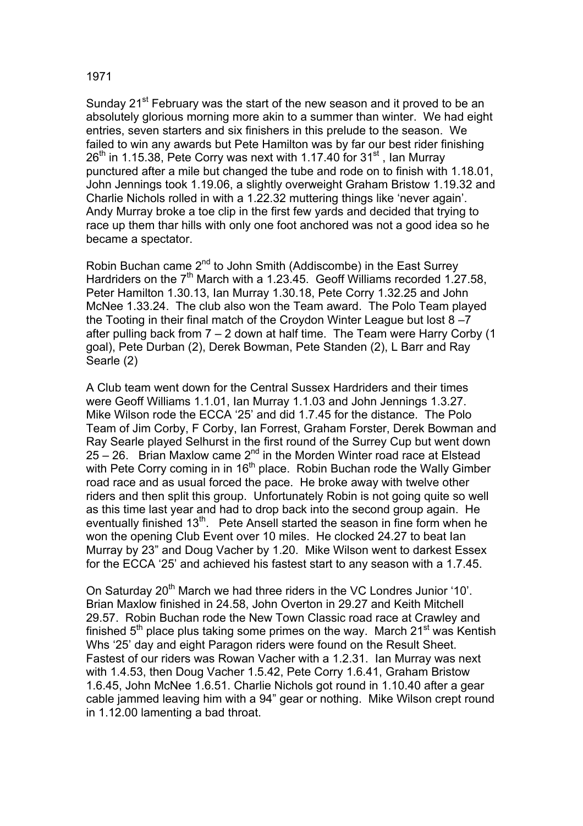## 1971

Sunday 21<sup>st</sup> February was the start of the new season and it proved to be an absolutely glorious morning more akin to a summer than winter. We had eight entries, seven starters and six finishers in this prelude to the season. We failed to win any awards but Pete Hamilton was by far our best rider finishing  $26<sup>th</sup>$  in 1.15.38, Pete Corry was next with 1.17.40 for 31<sup>st</sup>, Ian Murray punctured after a mile but changed the tube and rode on to finish with 1.18.01, John Jennings took 1.19.06, a slightly overweight Graham Bristow 1.19.32 and Charlie Nichols rolled in with a 1.22.32 muttering things like 'never again'. Andy Murray broke a toe clip in the first few yards and decided that trying to race up them thar hills with only one foot anchored was not a good idea so he became a spectator.

Robin Buchan came 2<sup>nd</sup> to John Smith (Addiscombe) in the East Surrey Hardriders on the  $7<sup>th</sup>$  March with a 1.23.45. Geoff Williams recorded 1.27.58, Peter Hamilton 1.30.13, Ian Murray 1.30.18, Pete Corry 1.32.25 and John McNee 1.33.24. The club also won the Team award. The Polo Team played the Tooting in their final match of the Croydon Winter League but lost 8 –7 after pulling back from 7 – 2 down at half time. The Team were Harry Corby (1 goal), Pete Durban (2), Derek Bowman, Pete Standen (2), L Barr and Ray Searle (2)

A Club team went down for the Central Sussex Hardriders and their times were Geoff Williams 1.1.01, Ian Murray 1.1.03 and John Jennings 1.3.27. Mike Wilson rode the ECCA '25' and did 1.7.45 for the distance. The Polo Team of Jim Corby, F Corby, Ian Forrest, Graham Forster, Derek Bowman and Ray Searle played Selhurst in the first round of the Surrey Cup but went down  $25 - 26$ . Brian Maxlow came  $2^{nd}$  in the Morden Winter road race at Elstead with Pete Corry coming in in 16<sup>th</sup> place. Robin Buchan rode the Wally Gimber road race and as usual forced the pace. He broke away with twelve other riders and then split this group. Unfortunately Robin is not going quite so well as this time last year and had to drop back into the second group again. He eventually finished 13<sup>th</sup>. Pete Ansell started the season in fine form when he won the opening Club Event over 10 miles. He clocked 24.27 to beat Ian Murray by 23" and Doug Vacher by 1.20. Mike Wilson went to darkest Essex for the ECCA '25' and achieved his fastest start to any season with a 1.7.45.

On Saturday 20<sup>th</sup> March we had three riders in the VC Londres Junior '10'. Brian Maxlow finished in 24.58, John Overton in 29.27 and Keith Mitchell 29.57. Robin Buchan rode the New Town Classic road race at Crawley and finished  $5<sup>th</sup>$  place plus taking some primes on the way. March 21 $<sup>st</sup>$  was Kentish</sup> Whs '25' day and eight Paragon riders were found on the Result Sheet. Fastest of our riders was Rowan Vacher with a 1.2.31. Ian Murray was next with 1.4.53, then Doug Vacher 1.5.42, Pete Corry 1.6.41, Graham Bristow 1.6.45, John McNee 1.6.51. Charlie Nichols got round in 1.10.40 after a gear cable jammed leaving him with a 94" gear or nothing. Mike Wilson crept round in 1.12.00 lamenting a bad throat.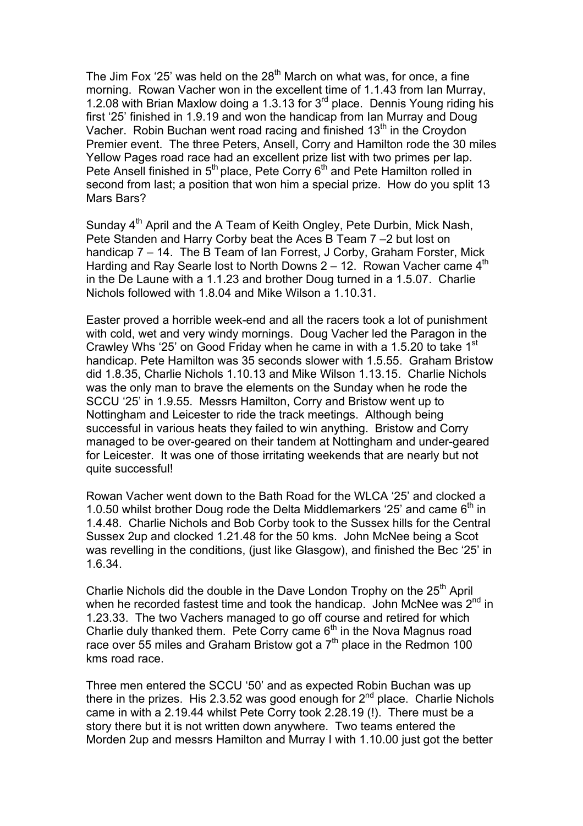The Jim Fox '25' was held on the  $28<sup>th</sup>$  March on what was, for once, a fine morning. Rowan Vacher won in the excellent time of 1.1.43 from Ian Murray, 1.2.08 with Brian Maxlow doing a 1.3.13 for 3rd place. Dennis Young riding his first '25' finished in 1.9.19 and won the handicap from Ian Murray and Doug Vacher. Robin Buchan went road racing and finished  $13<sup>th</sup>$  in the Croydon Premier event. The three Peters, Ansell, Corry and Hamilton rode the 30 miles Yellow Pages road race had an excellent prize list with two primes per lap. Pete Ansell finished in 5<sup>th</sup> place, Pete Corry 6<sup>th</sup> and Pete Hamilton rolled in second from last; a position that won him a special prize. How do you split 13 Mars Bars?

Sunday 4<sup>th</sup> April and the A Team of Keith Ongley, Pete Durbin, Mick Nash, Pete Standen and Harry Corby beat the Aces B Team 7 –2 but lost on handicap 7 – 14. The B Team of Ian Forrest, J Corby, Graham Forster, Mick Harding and Ray Searle lost to North Downs  $2 - 12$ . Rowan Vacher came  $4<sup>th</sup>$ in the De Laune with a 1.1.23 and brother Doug turned in a 1.5.07. Charlie Nichols followed with 1.8.04 and Mike Wilson a 1.10.31.

Easter proved a horrible week-end and all the racers took a lot of punishment with cold, wet and very windy mornings. Doug Vacher led the Paragon in the Crawley Whs '25' on Good Friday when he came in with a 1.5.20 to take 1<sup>st</sup> handicap. Pete Hamilton was 35 seconds slower with 1.5.55. Graham Bristow did 1.8.35, Charlie Nichols 1.10.13 and Mike Wilson 1.13.15. Charlie Nichols was the only man to brave the elements on the Sunday when he rode the SCCU '25' in 1.9.55. Messrs Hamilton, Corry and Bristow went up to Nottingham and Leicester to ride the track meetings. Although being successful in various heats they failed to win anything. Bristow and Corry managed to be over-geared on their tandem at Nottingham and under-geared for Leicester. It was one of those irritating weekends that are nearly but not quite successful!

Rowan Vacher went down to the Bath Road for the WLCA '25' and clocked a 1.0.50 whilst brother Doug rode the Delta Middlemarkers '25' and came  $6<sup>th</sup>$  in 1.4.48. Charlie Nichols and Bob Corby took to the Sussex hills for the Central Sussex 2up and clocked 1.21.48 for the 50 kms. John McNee being a Scot was revelling in the conditions, (just like Glasgow), and finished the Bec '25' in 1.6.34.

Charlie Nichols did the double in the Dave London Trophy on the  $25<sup>th</sup>$  April when he recorded fastest time and took the handicap. John McNee was  $2^{nd}$  in 1.23.33. The two Vachers managed to go off course and retired for which Charlie duly thanked them. Pete Corry came  $6<sup>th</sup>$  in the Nova Magnus road race over 55 miles and Graham Bristow got a 7<sup>th</sup> place in the Redmon 100 kms road race.

Three men entered the SCCU '50' and as expected Robin Buchan was up there in the prizes. His 2.3.52 was good enough for  $2<sup>nd</sup>$  place. Charlie Nichols came in with a 2.19.44 whilst Pete Corry took 2.28.19 (!). There must be a story there but it is not written down anywhere. Two teams entered the Morden 2up and messrs Hamilton and Murray I with 1.10.00 just got the better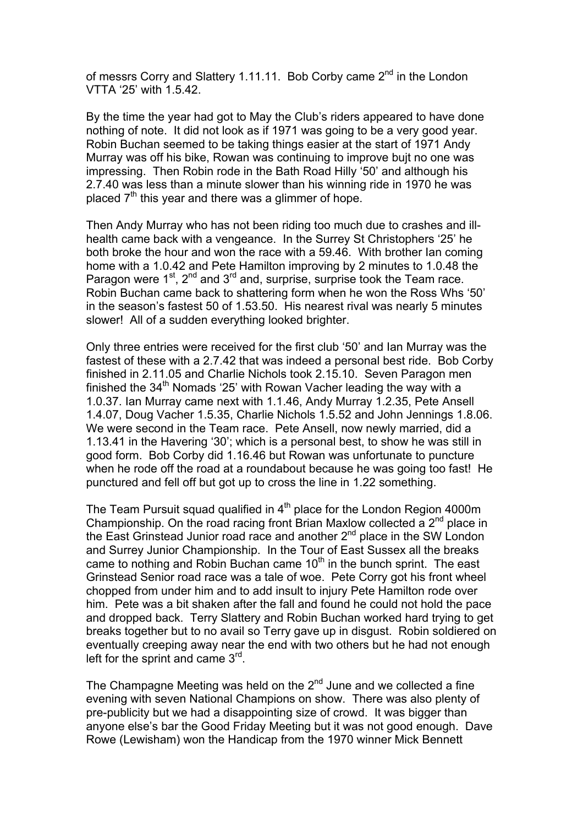of messrs Corry and Slattery 1.11.11. Bob Corby came 2<sup>nd</sup> in the London VTTA '25' with 1.5.42.

By the time the year had got to May the Club's riders appeared to have done nothing of note. It did not look as if 1971 was going to be a very good year. Robin Buchan seemed to be taking things easier at the start of 1971 Andy Murray was off his bike, Rowan was continuing to improve bujt no one was impressing. Then Robin rode in the Bath Road Hilly '50' and although his 2.7.40 was less than a minute slower than his winning ride in 1970 he was placed  $7<sup>th</sup>$  this year and there was a glimmer of hope.

Then Andy Murray who has not been riding too much due to crashes and illhealth came back with a vengeance. In the Surrey St Christophers '25' he both broke the hour and won the race with a 59.46. With brother Ian coming home with a 1.0.42 and Pete Hamilton improving by 2 minutes to 1.0.48 the Paragon were  $1<sup>st</sup>$ ,  $2<sup>nd</sup>$  and  $3<sup>rd</sup>$  and, surprise, surprise took the Team race. Robin Buchan came back to shattering form when he won the Ross Whs '50' in the season's fastest 50 of 1.53.50. His nearest rival was nearly 5 minutes slower! All of a sudden everything looked brighter.

Only three entries were received for the first club '50' and Ian Murray was the fastest of these with a 2.7.42 that was indeed a personal best ride. Bob Corby finished in 2.11.05 and Charlie Nichols took 2.15.10. Seven Paragon men finished the  $34<sup>th</sup>$  Nomads '25' with Rowan Vacher leading the way with a 1.0.37. Ian Murray came next with 1.1.46, Andy Murray 1.2.35, Pete Ansell 1.4.07, Doug Vacher 1.5.35, Charlie Nichols 1.5.52 and John Jennings 1.8.06. We were second in the Team race. Pete Ansell, now newly married, did a 1.13.41 in the Havering '30'; which is a personal best, to show he was still in good form. Bob Corby did 1.16.46 but Rowan was unfortunate to puncture when he rode off the road at a roundabout because he was going too fast! He punctured and fell off but got up to cross the line in 1.22 something.

The Team Pursuit squad qualified in  $4<sup>th</sup>$  place for the London Region 4000m Championship. On the road racing front Brian Maxlow collected a  $2<sup>nd</sup>$  place in the East Grinstead Junior road race and another 2<sup>nd</sup> place in the SW London and Surrey Junior Championship. In the Tour of East Sussex all the breaks came to nothing and Robin Buchan came  $10<sup>th</sup>$  in the bunch sprint. The east Grinstead Senior road race was a tale of woe. Pete Corry got his front wheel chopped from under him and to add insult to injury Pete Hamilton rode over him. Pete was a bit shaken after the fall and found he could not hold the pace and dropped back. Terry Slattery and Robin Buchan worked hard trying to get breaks together but to no avail so Terry gave up in disgust. Robin soldiered on eventually creeping away near the end with two others but he had not enough left for the sprint and came  $3<sup>rd</sup>$ .

The Champagne Meeting was held on the  $2<sup>nd</sup>$  June and we collected a fine evening with seven National Champions on show. There was also plenty of pre-publicity but we had a disappointing size of crowd. It was bigger than anyone else's bar the Good Friday Meeting but it was not good enough. Dave Rowe (Lewisham) won the Handicap from the 1970 winner Mick Bennett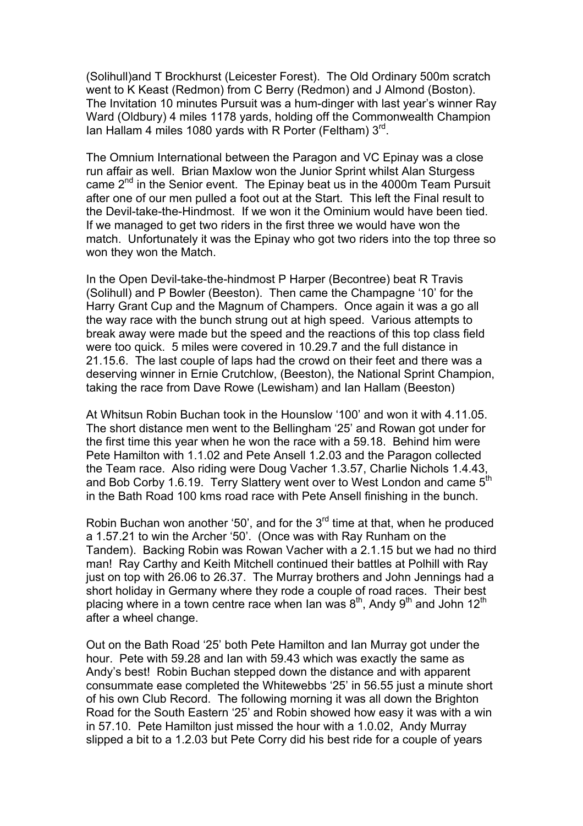(Solihull)and T Brockhurst (Leicester Forest). The Old Ordinary 500m scratch went to K Keast (Redmon) from C Berry (Redmon) and J Almond (Boston). The Invitation 10 minutes Pursuit was a hum-dinger with last year's winner Ray Ward (Oldbury) 4 miles 1178 yards, holding off the Commonwealth Champion Ian Hallam 4 miles 1080 yards with R Porter (Feltham)  $3<sup>rd</sup>$ .

The Omnium International between the Paragon and VC Epinay was a close run affair as well. Brian Maxlow won the Junior Sprint whilst Alan Sturgess came 2<sup>nd</sup> in the Senior event. The Epinay beat us in the 4000m Team Pursuit after one of our men pulled a foot out at the Start. This left the Final result to the Devil-take-the-Hindmost. If we won it the Ominium would have been tied. If we managed to get two riders in the first three we would have won the match. Unfortunately it was the Epinay who got two riders into the top three so won they won the Match.

In the Open Devil-take-the-hindmost P Harper (Becontree) beat R Travis (Solihull) and P Bowler (Beeston). Then came the Champagne '10' for the Harry Grant Cup and the Magnum of Champers. Once again it was a go all the way race with the bunch strung out at high speed. Various attempts to break away were made but the speed and the reactions of this top class field were too quick. 5 miles were covered in 10.29.7 and the full distance in 21.15.6. The last couple of laps had the crowd on their feet and there was a deserving winner in Ernie Crutchlow, (Beeston), the National Sprint Champion, taking the race from Dave Rowe (Lewisham) and Ian Hallam (Beeston)

At Whitsun Robin Buchan took in the Hounslow '100' and won it with 4.11.05. The short distance men went to the Bellingham '25' and Rowan got under for the first time this year when he won the race with a 59.18. Behind him were Pete Hamilton with 1.1.02 and Pete Ansell 1.2.03 and the Paragon collected the Team race. Also riding were Doug Vacher 1.3.57, Charlie Nichols 1.4.43, and Bob Corby 1.6.19. Terry Slattery went over to West London and came 5<sup>th</sup> in the Bath Road 100 kms road race with Pete Ansell finishing in the bunch.

Robin Buchan won another '50', and for the  $3<sup>rd</sup>$  time at that, when he produced a 1.57.21 to win the Archer '50'. (Once was with Ray Runham on the Tandem). Backing Robin was Rowan Vacher with a 2.1.15 but we had no third man! Ray Carthy and Keith Mitchell continued their battles at Polhill with Ray just on top with 26.06 to 26.37. The Murray brothers and John Jennings had a short holiday in Germany where they rode a couple of road races. Their best placing where in a town centre race when Ian was  $8<sup>th</sup>$ , Andy  $9<sup>th</sup>$  and John 12<sup>th</sup> after a wheel change.

Out on the Bath Road '25' both Pete Hamilton and Ian Murray got under the hour. Pete with 59.28 and Ian with 59.43 which was exactly the same as Andy's best! Robin Buchan stepped down the distance and with apparent consummate ease completed the Whitewebbs '25' in 56.55 just a minute short of his own Club Record. The following morning it was all down the Brighton Road for the South Eastern '25' and Robin showed how easy it was with a win in 57.10. Pete Hamilton just missed the hour with a 1.0.02, Andy Murray slipped a bit to a 1.2.03 but Pete Corry did his best ride for a couple of years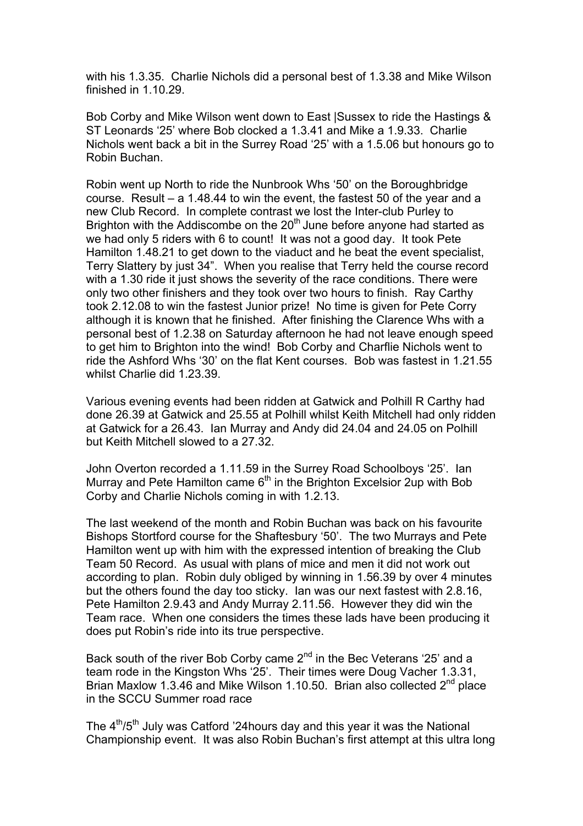with his 1.3.35. Charlie Nichols did a personal best of 1.3.38 and Mike Wilson finished in 1.10.29.

Bob Corby and Mike Wilson went down to East |Sussex to ride the Hastings & ST Leonards '25' where Bob clocked a 1.3.41 and Mike a 1.9.33. Charlie Nichols went back a bit in the Surrey Road '25' with a 1.5.06 but honours go to Robin Buchan.

Robin went up North to ride the Nunbrook Whs '50' on the Boroughbridge course. Result – a 1.48.44 to win the event, the fastest 50 of the year and a new Club Record. In complete contrast we lost the Inter-club Purley to Brighton with the Addiscombe on the  $20<sup>th</sup>$  June before anyone had started as we had only 5 riders with 6 to count! It was not a good day. It took Pete Hamilton 1.48.21 to get down to the viaduct and he beat the event specialist, Terry Slattery by just 34". When you realise that Terry held the course record with a 1.30 ride it just shows the severity of the race conditions. There were only two other finishers and they took over two hours to finish. Ray Carthy took 2.12.08 to win the fastest Junior prize! No time is given for Pete Corry although it is known that he finished. After finishing the Clarence Whs with a personal best of 1.2.38 on Saturday afternoon he had not leave enough speed to get him to Brighton into the wind! Bob Corby and Charflie Nichols went to ride the Ashford Whs '30' on the flat Kent courses. Bob was fastest in 1.21.55 whilst Charlie did 1.23.39.

Various evening events had been ridden at Gatwick and Polhill R Carthy had done 26.39 at Gatwick and 25.55 at Polhill whilst Keith Mitchell had only ridden at Gatwick for a 26.43. Ian Murray and Andy did 24.04 and 24.05 on Polhill but Keith Mitchell slowed to a 27.32.

John Overton recorded a 1.11.59 in the Surrey Road Schoolboys '25'. Ian Murray and Pete Hamilton came  $6<sup>th</sup>$  in the Brighton Excelsior 2up with Bob Corby and Charlie Nichols coming in with 1.2.13.

The last weekend of the month and Robin Buchan was back on his favourite Bishops Stortford course for the Shaftesbury '50'. The two Murrays and Pete Hamilton went up with him with the expressed intention of breaking the Club Team 50 Record. As usual with plans of mice and men it did not work out according to plan. Robin duly obliged by winning in 1.56.39 by over 4 minutes but the others found the day too sticky. Ian was our next fastest with 2.8.16, Pete Hamilton 2.9.43 and Andy Murray 2.11.56. However they did win the Team race. When one considers the times these lads have been producing it does put Robin's ride into its true perspective.

Back south of the river Bob Corby came 2<sup>nd</sup> in the Bec Veterans '25' and a team rode in the Kingston Whs '25'. Their times were Doug Vacher 1.3.31, Brian Maxlow 1.3.46 and Mike Wilson 1.10.50. Brian also collected 2<sup>nd</sup> place in the SCCU Summer road race

The  $4<sup>th</sup>/5<sup>th</sup>$  July was Catford '24 hours day and this year it was the National Championship event. It was also Robin Buchan's first attempt at this ultra long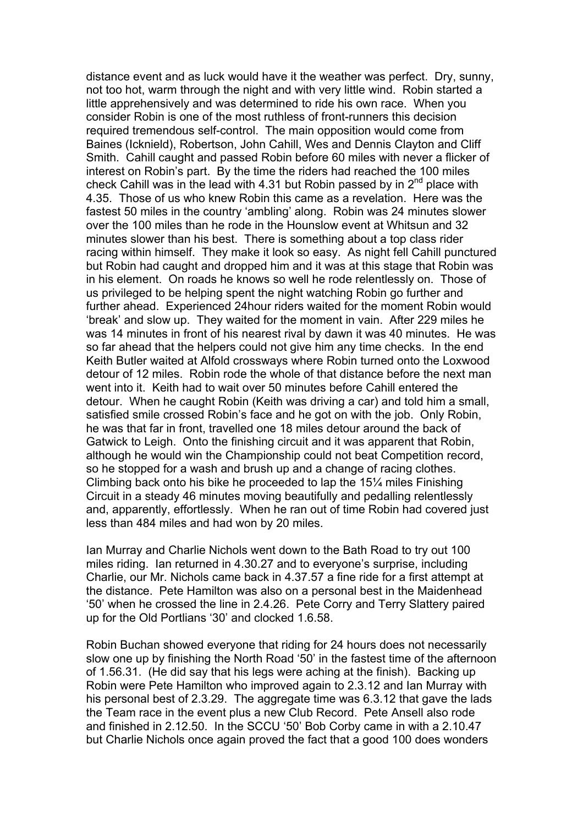distance event and as luck would have it the weather was perfect. Dry, sunny, not too hot, warm through the night and with very little wind. Robin started a little apprehensively and was determined to ride his own race. When you consider Robin is one of the most ruthless of front-runners this decision required tremendous self-control. The main opposition would come from Baines (Icknield), Robertson, John Cahill, Wes and Dennis Clayton and Cliff Smith. Cahill caught and passed Robin before 60 miles with never a flicker of interest on Robin's part. By the time the riders had reached the 100 miles check Cahill was in the lead with 4.31 but Robin passed by in  $2^{nd}$  place with 4.35. Those of us who knew Robin this came as a revelation. Here was the fastest 50 miles in the country 'ambling' along. Robin was 24 minutes slower over the 100 miles than he rode in the Hounslow event at Whitsun and 32 minutes slower than his best. There is something about a top class rider racing within himself. They make it look so easy. As night fell Cahill punctured but Robin had caught and dropped him and it was at this stage that Robin was in his element. On roads he knows so well he rode relentlessly on. Those of us privileged to be helping spent the night watching Robin go further and further ahead. Experienced 24hour riders waited for the moment Robin would 'break' and slow up. They waited for the moment in vain. After 229 miles he was 14 minutes in front of his nearest rival by dawn it was 40 minutes. He was so far ahead that the helpers could not give him any time checks. In the end Keith Butler waited at Alfold crossways where Robin turned onto the Loxwood detour of 12 miles. Robin rode the whole of that distance before the next man went into it. Keith had to wait over 50 minutes before Cahill entered the detour. When he caught Robin (Keith was driving a car) and told him a small, satisfied smile crossed Robin's face and he got on with the job. Only Robin, he was that far in front, travelled one 18 miles detour around the back of Gatwick to Leigh. Onto the finishing circuit and it was apparent that Robin, although he would win the Championship could not beat Competition record, so he stopped for a wash and brush up and a change of racing clothes. Climbing back onto his bike he proceeded to lap the 15¼ miles Finishing Circuit in a steady 46 minutes moving beautifully and pedalling relentlessly and, apparently, effortlessly. When he ran out of time Robin had covered just less than 484 miles and had won by 20 miles.

Ian Murray and Charlie Nichols went down to the Bath Road to try out 100 miles riding. Ian returned in 4.30.27 and to everyone's surprise, including Charlie, our Mr. Nichols came back in 4.37.57 a fine ride for a first attempt at the distance. Pete Hamilton was also on a personal best in the Maidenhead '50' when he crossed the line in 2.4.26. Pete Corry and Terry Slattery paired up for the Old Portlians '30' and clocked 1.6.58.

Robin Buchan showed everyone that riding for 24 hours does not necessarily slow one up by finishing the North Road '50' in the fastest time of the afternoon of 1.56.31. (He did say that his legs were aching at the finish). Backing up Robin were Pete Hamilton who improved again to 2.3.12 and Ian Murray with his personal best of 2.3.29. The aggregate time was 6.3.12 that gave the lads the Team race in the event plus a new Club Record. Pete Ansell also rode and finished in 2.12.50. In the SCCU '50' Bob Corby came in with a 2.10.47 but Charlie Nichols once again proved the fact that a good 100 does wonders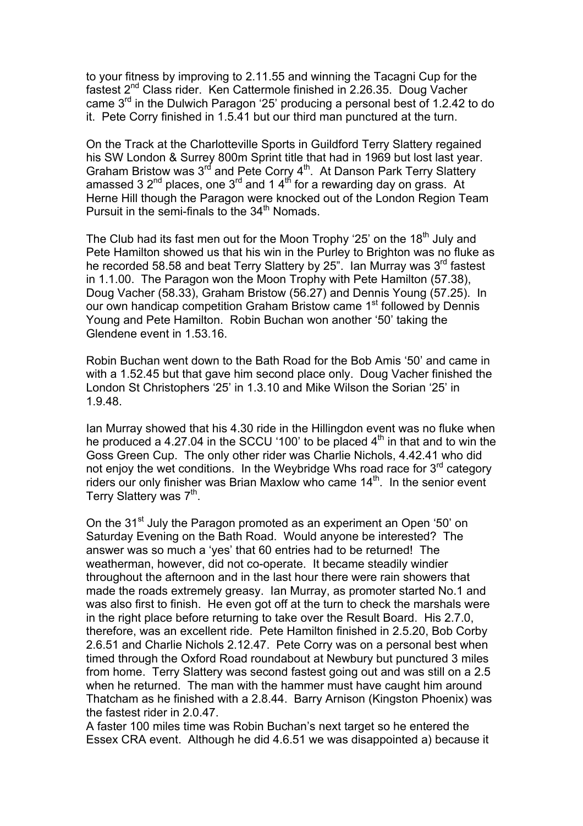to your fitness by improving to 2.11.55 and winning the Tacagni Cup for the fastest 2nd Class rider. Ken Cattermole finished in 2.26.35. Doug Vacher came 3rd in the Dulwich Paragon '25' producing a personal best of 1.2.42 to do it. Pete Corry finished in 1.5.41 but our third man punctured at the turn.

On the Track at the Charlotteville Sports in Guildford Terry Slattery regained his SW London & Surrey 800m Sprint title that had in 1969 but lost last year. Graham Bristow was 3<sup>rd</sup> and Pete Corry 4<sup>th</sup>. At Danson Park Terry Slattery amassed 3  $2^{nd}$  places, one 3<sup>rd</sup> and 1  $4^{th}$  for a rewarding day on grass. At Herne Hill though the Paragon were knocked out of the London Region Team Pursuit in the semi-finals to the  $34<sup>th</sup>$  Nomads.

The Club had its fast men out for the Moon Trophy '25' on the 18<sup>th</sup> July and Pete Hamilton showed us that his win in the Purley to Brighton was no fluke as he recorded 58.58 and beat Terry Slattery by 25". Ian Murray was 3<sup>rd</sup> fastest in 1.1.00. The Paragon won the Moon Trophy with Pete Hamilton (57.38), Doug Vacher (58.33), Graham Bristow (56.27) and Dennis Young (57.25). In our own handicap competition Graham Bristow came 1<sup>st</sup> followed by Dennis Young and Pete Hamilton. Robin Buchan won another '50' taking the Glendene event in 1.53.16.

Robin Buchan went down to the Bath Road for the Bob Amis '50' and came in with a 1.52.45 but that gave him second place only. Doug Vacher finished the London St Christophers '25' in 1.3.10 and Mike Wilson the Sorian '25' in 1.9.48.

Ian Murray showed that his 4.30 ride in the Hillingdon event was no fluke when he produced a 4.27.04 in the SCCU '100' to be placed  $4<sup>th</sup>$  in that and to win the Goss Green Cup. The only other rider was Charlie Nichols, 4.42.41 who did not enjoy the wet conditions. In the Weybridge Whs road race for  $3<sup>rd</sup>$  category riders our only finisher was Brian Maxlow who came 14<sup>th</sup>. In the senior event Terry Slattery was 7<sup>th</sup>.

On the 31<sup>st</sup> July the Paragon promoted as an experiment an Open '50' on Saturday Evening on the Bath Road. Would anyone be interested? The answer was so much a 'yes' that 60 entries had to be returned! The weatherman, however, did not co-operate. It became steadily windier throughout the afternoon and in the last hour there were rain showers that made the roads extremely greasy. Ian Murray, as promoter started No.1 and was also first to finish. He even got off at the turn to check the marshals were in the right place before returning to take over the Result Board. His 2.7.0, therefore, was an excellent ride. Pete Hamilton finished in 2.5.20, Bob Corby 2.6.51 and Charlie Nichols 2.12.47. Pete Corry was on a personal best when timed through the Oxford Road roundabout at Newbury but punctured 3 miles from home. Terry Slattery was second fastest going out and was still on a 2.5 when he returned. The man with the hammer must have caught him around Thatcham as he finished with a 2.8.44. Barry Arnison (Kingston Phoenix) was the fastest rider in 2.0.47.

A faster 100 miles time was Robin Buchan's next target so he entered the Essex CRA event. Although he did 4.6.51 we was disappointed a) because it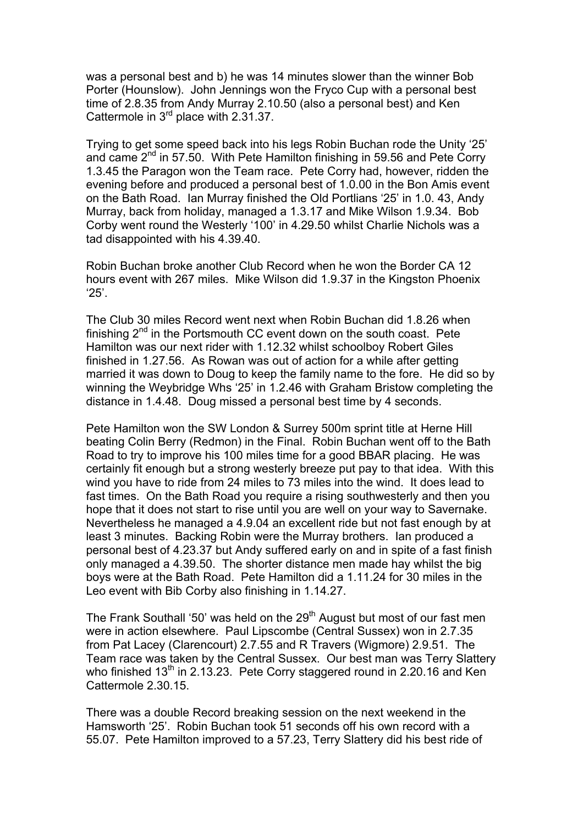was a personal best and b) he was 14 minutes slower than the winner Bob Porter (Hounslow). John Jennings won the Fryco Cup with a personal best time of 2.8.35 from Andy Murray 2.10.50 (also a personal best) and Ken Cattermole in 3<sup>rd</sup> place with 2.31.37.

Trying to get some speed back into his legs Robin Buchan rode the Unity '25' and came  $2^{nd}$  in 57.50. With Pete Hamilton finishing in 59.56 and Pete Corry 1.3.45 the Paragon won the Team race. Pete Corry had, however, ridden the evening before and produced a personal best of 1.0.00 in the Bon Amis event on the Bath Road. Ian Murray finished the Old Portlians '25' in 1.0. 43, Andy Murray, back from holiday, managed a 1.3.17 and Mike Wilson 1.9.34. Bob Corby went round the Westerly '100' in 4.29.50 whilst Charlie Nichols was a tad disappointed with his 4.39.40.

Robin Buchan broke another Club Record when he won the Border CA 12 hours event with 267 miles. Mike Wilson did 1.9.37 in the Kingston Phoenix '25'.

The Club 30 miles Record went next when Robin Buchan did 1.8.26 when finishing  $2^{nd}$  in the Portsmouth CC event down on the south coast. Pete Hamilton was our next rider with 1.12.32 whilst schoolboy Robert Giles finished in 1.27.56. As Rowan was out of action for a while after getting married it was down to Doug to keep the family name to the fore. He did so by winning the Weybridge Whs '25' in 1.2.46 with Graham Bristow completing the distance in 1.4.48. Doug missed a personal best time by 4 seconds.

Pete Hamilton won the SW London & Surrey 500m sprint title at Herne Hill beating Colin Berry (Redmon) in the Final. Robin Buchan went off to the Bath Road to try to improve his 100 miles time for a good BBAR placing. He was certainly fit enough but a strong westerly breeze put pay to that idea. With this wind you have to ride from 24 miles to 73 miles into the wind. It does lead to fast times. On the Bath Road you require a rising southwesterly and then you hope that it does not start to rise until you are well on your way to Savernake. Nevertheless he managed a 4.9.04 an excellent ride but not fast enough by at least 3 minutes. Backing Robin were the Murray brothers. Ian produced a personal best of 4.23.37 but Andy suffered early on and in spite of a fast finish only managed a 4.39.50. The shorter distance men made hay whilst the big boys were at the Bath Road. Pete Hamilton did a 1.11.24 for 30 miles in the Leo event with Bib Corby also finishing in 1.14.27.

The Frank Southall '50' was held on the  $29<sup>th</sup>$  August but most of our fast men were in action elsewhere. Paul Lipscombe (Central Sussex) won in 2.7.35 from Pat Lacey (Clarencourt) 2.7.55 and R Travers (Wigmore) 2.9.51. The Team race was taken by the Central Sussex. Our best man was Terry Slattery who finished  $13<sup>th</sup>$  in 2.13.23. Pete Corry staggered round in 2.20.16 and Ken Cattermole 2.30.15.

There was a double Record breaking session on the next weekend in the Hamsworth '25'. Robin Buchan took 51 seconds off his own record with a 55.07. Pete Hamilton improved to a 57.23, Terry Slattery did his best ride of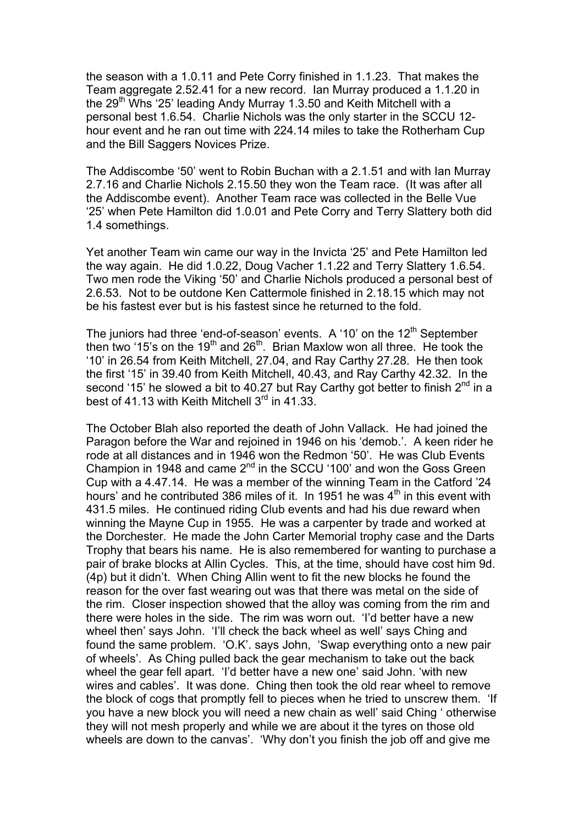the season with a 1.0.11 and Pete Corry finished in 1.1.23. That makes the Team aggregate 2.52.41 for a new record. Ian Murray produced a 1.1.20 in the 29<sup>th</sup> Whs '25' leading Andy Murray 1.3.50 and Keith Mitchell with a personal best 1.6.54. Charlie Nichols was the only starter in the SCCU 12 hour event and he ran out time with 224.14 miles to take the Rotherham Cup and the Bill Saggers Novices Prize.

The Addiscombe '50' went to Robin Buchan with a 2.1.51 and with Ian Murray 2.7.16 and Charlie Nichols 2.15.50 they won the Team race. (It was after all the Addiscombe event). Another Team race was collected in the Belle Vue '25' when Pete Hamilton did 1.0.01 and Pete Corry and Terry Slattery both did 1.4 somethings.

Yet another Team win came our way in the Invicta '25' and Pete Hamilton led the way again. He did 1.0.22, Doug Vacher 1.1.22 and Terry Slattery 1.6.54. Two men rode the Viking '50' and Charlie Nichols produced a personal best of 2.6.53. Not to be outdone Ken Cattermole finished in 2.18.15 which may not be his fastest ever but is his fastest since he returned to the fold.

The juniors had three 'end-of-season' events. A '10' on the  $12<sup>th</sup>$  September then two '15's on the 19<sup>th</sup> and 26<sup>th</sup>. Brian Maxlow won all three. He took the '10' in 26.54 from Keith Mitchell, 27.04, and Ray Carthy 27.28. He then took the first '15' in 39.40 from Keith Mitchell, 40.43, and Ray Carthy 42.32. In the second '15' he slowed a bit to 40.27 but Ray Carthy got better to finish  $2^{nd}$  in a best of 41.13 with Keith Mitchell 3<sup>rd</sup> in 41.33.

The October Blah also reported the death of John Vallack. He had joined the Paragon before the War and rejoined in 1946 on his 'demob.'. A keen rider he rode at all distances and in 1946 won the Redmon '50'. He was Club Events Champion in 1948 and came 2nd in the SCCU '100' and won the Goss Green Cup with a 4.47.14. He was a member of the winning Team in the Catford '24 hours' and he contributed 386 miles of it. In 1951 he was 4<sup>th</sup> in this event with 431.5 miles. He continued riding Club events and had his due reward when winning the Mayne Cup in 1955. He was a carpenter by trade and worked at the Dorchester. He made the John Carter Memorial trophy case and the Darts Trophy that bears his name. He is also remembered for wanting to purchase a pair of brake blocks at Allin Cycles. This, at the time, should have cost him 9d. (4p) but it didn't. When Ching Allin went to fit the new blocks he found the reason for the over fast wearing out was that there was metal on the side of the rim. Closer inspection showed that the alloy was coming from the rim and there were holes in the side. The rim was worn out. 'I'd better have a new wheel then' says John. 'I'll check the back wheel as well' says Ching and found the same problem. 'O.K'. says John, 'Swap everything onto a new pair of wheels'. As Ching pulled back the gear mechanism to take out the back wheel the gear fell apart. 'I'd better have a new one' said John. 'with new wires and cables'. It was done. Ching then took the old rear wheel to remove the block of cogs that promptly fell to pieces when he tried to unscrew them. 'If you have a new block you will need a new chain as well' said Ching ' otherwise they will not mesh properly and while we are about it the tyres on those old wheels are down to the canvas'. 'Why don't you finish the job off and give me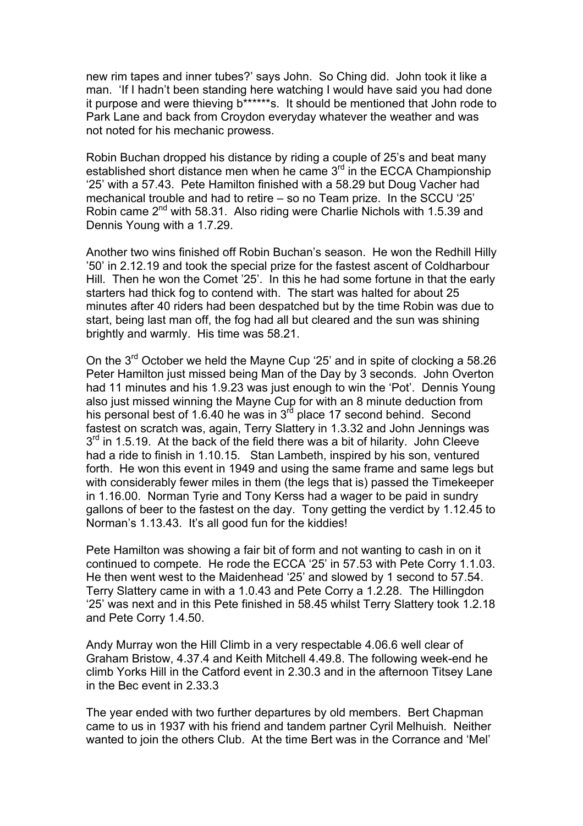new rim tapes and inner tubes?' says John. So Ching did. John took it like a man. 'If I hadn't been standing here watching I would have said you had done it purpose and were thieving b\*\*\*\*\*\*s. It should be mentioned that John rode to Park Lane and back from Croydon everyday whatever the weather and was not noted for his mechanic prowess.

Robin Buchan dropped his distance by riding a couple of 25's and beat many established short distance men when he came 3<sup>rd</sup> in the ECCA Championship '25' with a 57.43. Pete Hamilton finished with a 58.29 but Doug Vacher had mechanical trouble and had to retire – so no Team prize. In the SCCU '25' Robin came 2<sup>nd</sup> with 58.31. Also riding were Charlie Nichols with 1.5.39 and Dennis Young with a 1.7.29.

Another two wins finished off Robin Buchan's season. He won the Redhill Hilly '50' in 2.12.19 and took the special prize for the fastest ascent of Coldharbour Hill. Then he won the Comet '25'. In this he had some fortune in that the early starters had thick fog to contend with. The start was halted for about 25 minutes after 40 riders had been despatched but by the time Robin was due to start, being last man off, the fog had all but cleared and the sun was shining brightly and warmly. His time was 58.21.

On the 3rd October we held the Mayne Cup '25' and in spite of clocking a 58.26 Peter Hamilton just missed being Man of the Day by 3 seconds. John Overton had 11 minutes and his 1.9.23 was just enough to win the 'Pot'. Dennis Young also just missed winning the Mayne Cup for with an 8 minute deduction from his personal best of 1.6.40 he was in  $3<sup>rd</sup>$  place 17 second behind. Second fastest on scratch was, again, Terry Slattery in 1.3.32 and John Jennings was  $3<sup>rd</sup>$  in 1.5.19. At the back of the field there was a bit of hilarity. John Cleeve had a ride to finish in 1.10.15. Stan Lambeth, inspired by his son, ventured forth. He won this event in 1949 and using the same frame and same legs but with considerably fewer miles in them (the legs that is) passed the Timekeeper in 1.16.00. Norman Tyrie and Tony Kerss had a wager to be paid in sundry gallons of beer to the fastest on the day. Tony getting the verdict by 1.12.45 to Norman's 1.13.43. It's all good fun for the kiddies!

Pete Hamilton was showing a fair bit of form and not wanting to cash in on it continued to compete. He rode the ECCA '25' in 57.53 with Pete Corry 1.1.03. He then went west to the Maidenhead '25' and slowed by 1 second to 57.54. Terry Slattery came in with a 1.0.43 and Pete Corry a 1.2.28. The Hillingdon '25' was next and in this Pete finished in 58.45 whilst Terry Slattery took 1.2.18 and Pete Corry 1.4.50.

Andy Murray won the Hill Climb in a very respectable 4.06.6 well clear of Graham Bristow, 4.37.4 and Keith Mitchell 4.49.8. The following week-end he climb Yorks Hill in the Catford event in 2.30.3 and in the afternoon Titsey Lane in the Bec event in 2.33.3

The year ended with two further departures by old members. Bert Chapman came to us in 1937 with his friend and tandem partner Cyril Melhuish. Neither wanted to join the others Club. At the time Bert was in the Corrance and 'Mel'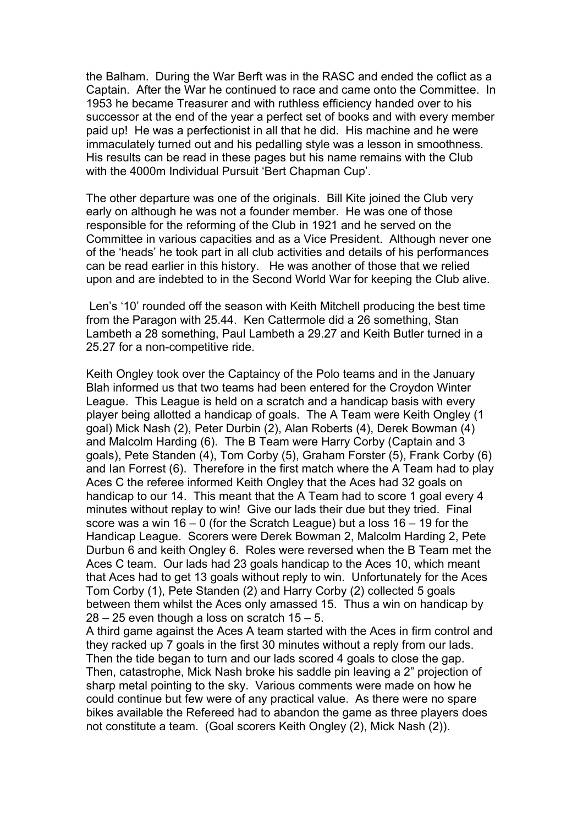the Balham. During the War Berft was in the RASC and ended the coflict as a Captain. After the War he continued to race and came onto the Committee. In 1953 he became Treasurer and with ruthless efficiency handed over to his successor at the end of the year a perfect set of books and with every member paid up! He was a perfectionist in all that he did. His machine and he were immaculately turned out and his pedalling style was a lesson in smoothness. His results can be read in these pages but his name remains with the Club with the 4000m Individual Pursuit 'Bert Chapman Cup'.

The other departure was one of the originals. Bill Kite joined the Club very early on although he was not a founder member. He was one of those responsible for the reforming of the Club in 1921 and he served on the Committee in various capacities and as a Vice President. Although never one of the 'heads' he took part in all club activities and details of his performances can be read earlier in this history. He was another of those that we relied upon and are indebted to in the Second World War for keeping the Club alive.

 Len's '10' rounded off the season with Keith Mitchell producing the best time from the Paragon with 25.44. Ken Cattermole did a 26 something, Stan Lambeth a 28 something, Paul Lambeth a 29.27 and Keith Butler turned in a 25.27 for a non-competitive ride.

Keith Ongley took over the Captaincy of the Polo teams and in the January Blah informed us that two teams had been entered for the Croydon Winter League. This League is held on a scratch and a handicap basis with every player being allotted a handicap of goals. The A Team were Keith Ongley (1 goal) Mick Nash (2), Peter Durbin (2), Alan Roberts (4), Derek Bowman (4) and Malcolm Harding (6). The B Team were Harry Corby (Captain and 3 goals), Pete Standen (4), Tom Corby (5), Graham Forster (5), Frank Corby (6) and Ian Forrest (6). Therefore in the first match where the A Team had to play Aces C the referee informed Keith Ongley that the Aces had 32 goals on handicap to our 14. This meant that the A Team had to score 1 goal every 4 minutes without replay to win! Give our lads their due but they tried. Final score was a win 16 – 0 (for the Scratch League) but a loss 16 – 19 for the Handicap League. Scorers were Derek Bowman 2, Malcolm Harding 2, Pete Durbun 6 and keith Ongley 6. Roles were reversed when the B Team met the Aces C team. Our lads had 23 goals handicap to the Aces 10, which meant that Aces had to get 13 goals without reply to win. Unfortunately for the Aces Tom Corby (1), Pete Standen (2) and Harry Corby (2) collected 5 goals between them whilst the Aces only amassed 15. Thus a win on handicap by  $28 - 25$  even though a loss on scratch  $15 - 5$ .

A third game against the Aces A team started with the Aces in firm control and they racked up 7 goals in the first 30 minutes without a reply from our lads. Then the tide began to turn and our lads scored 4 goals to close the gap. Then, catastrophe, Mick Nash broke his saddle pin leaving a 2" projection of sharp metal pointing to the sky. Various comments were made on how he could continue but few were of any practical value. As there were no spare bikes available the Refereed had to abandon the game as three players does not constitute a team. (Goal scorers Keith Ongley (2), Mick Nash (2)).